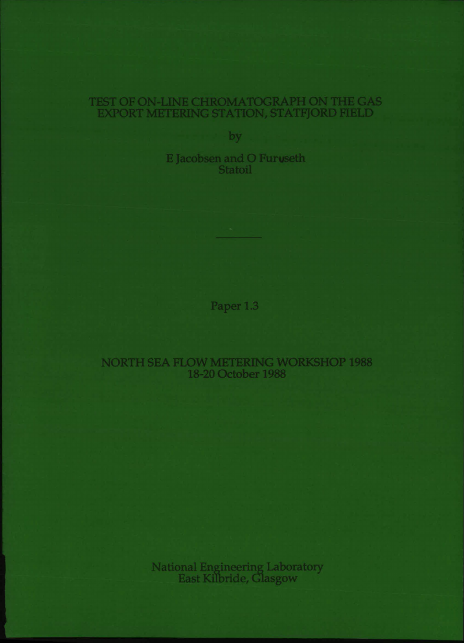# TEST OF ON-LINE CHROMATOGRAPH ON THE GAS EXPORT METERING STATION, STATFJORD FIELD

by

E Jacobsen and 0 Furuseth Statoil

Paper 1.3

NORTH SEA FLOW METERING WORKSHOP 1988 18-20 October 1988

> National Engineering Laboratory East Kilbride, Glasgow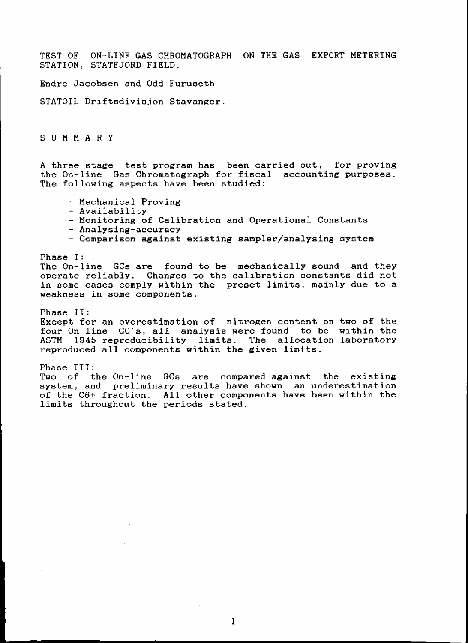TEST OF ON-LINE GAS CHROMATOGRAPH ON THE GAS EXPORT METERING STATION, STATFJORD FIELD.

Endre Jacobsen and Odd Furuseth

STATOIL Driftsdivisjon Stavanger.

SUM MAR Y

A three stage test program has been carried out, for proving the On-line Gas Chromatograph for fiscal accounting purposes. The following aspects have been studied:

- Mechanical Proving
- Availability
- Monitoring of Calibration and Operational Constants
- Analysing-accuracy
- Comparison against existing sampler/analysing system

Phase I:

The On-line GCs are found to be mechanically sound and they operate reliably. Changes to the calibration constants did not in some cases comply within the preset limits, mainly due to a weakness in some components.

Phase II: Except for an overestimation of nitrogen content on two of the four On-line GC's, all analysis were found to be within the ASTM 1945 reproducibility limits. The allocation laboratory reproduced all components within the given limits.

Phase III:<br>Two of the On-line GCs are compared against the existing system, and preliminary results have shown an underestimation of the C6+ fraction. All other components have been within the limits throughout the periods stated.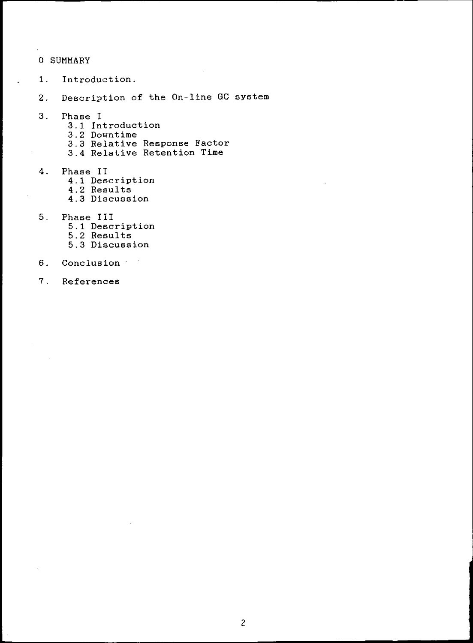# o SUMMARY

- 1. Introduction.
- 2. Description of the On-line GC system
- 3. Phase I
	- 3.1 Introduction
	- 3.2 Downtime
	- 3.3 Relative Response Factor
	- 3.4 Relative Retention Time
- 4. Phase II
	- 4.1 Description
	- 4.2 Results
	- 4.3 Discussion
- 5. Phase III
	- 5.1 Description
	- 5.2 Results
	- 5.3 Discussion
- 6. Conclusion
- 7. References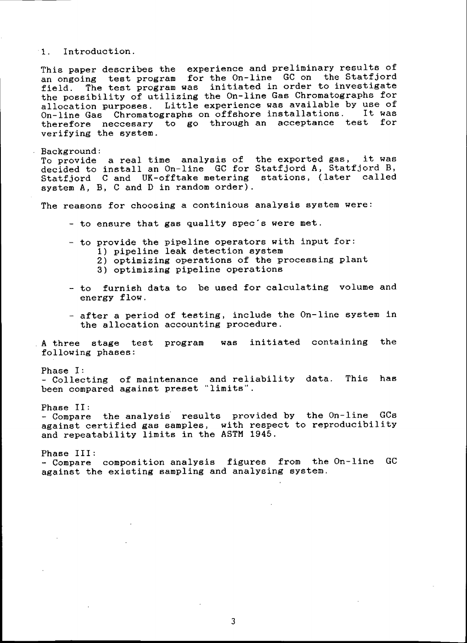1. Introduction.

This paper describes the experience and preliminary results of an ongoing test program for the On-line GC on the Statfjord field. The test program was initiated in order to investigate the possibility of utilizing the On-line Gas Chromatographs for allocation purposes. Little experience was available by use of  $O_{n-1}$  and  $O_{n-1}$  and  $O_{n-1}$  and  $O_{n-1}$  and  $O_{n-1}$  and  $O_{n-1}$  and  $O_{n-1}$  and  $O_{n-1}$  and  $O_{n-1}$  and  $O_{n-1}$  and  $O_{n-1}$  and  $O_{n-1}$  and  $O_{$ On-line Gas Chromatographs on offshore installations. therefore neccesary to go through an acceptance test for verifying the system.

Background: To provide a real time analysis of the exported gas, it was decided to install an On-line GC for Statfjord A, Statfjord B, Statfjord C and UK-offtake metering stations, (later called system A, B, C and D in random order).

The reasons for choosing a continious analysis system were:

- to ensure that gas quality spec's were met.
- to provide the pipeline operators with input for:
	- 1) pipeline leak detection system
		- 2) optimizing operations of the processing plant
		- 3) optimizing pipeline operations
- to furnish data to be used for calculating volume and energy flow.
- after a period of testing, include the On-line system in the allocation accounting procedure.

A three stage test program following phases: was initiated containing the

Phase I:

- Collecting of maintenance and reliability data. This has been compared against preset "limits".

Phase II:

- Compare the analysis results provided by the On-line GCs against certified gas samples, with respect to reproducibility and repeatability limits in the ASTM 1945.

Phase III: - Compare composition analysis figures from the On-line GC against the existing sampling and analysing system.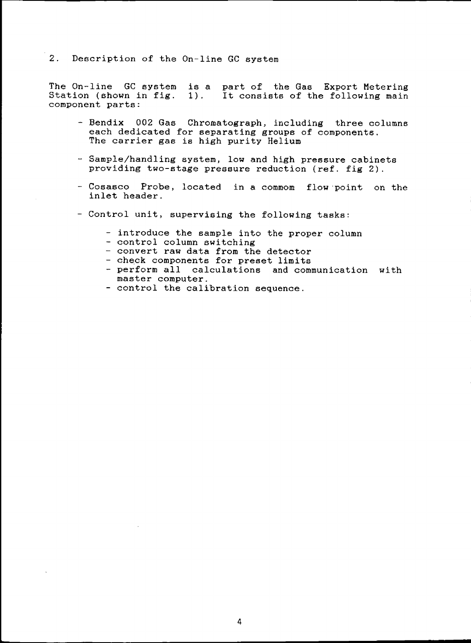2. Description of the On-line GC system

The On-line GC system Station (shown in fig. component parts: is a part of the Gas Export Metering 1). It consists of the following main

- Bendix 002 Gas Chromatograph, including three columns each dedicated for separating groups of components. The carrier gas is high purity Helium
- Sample/handling system, low and high pressure cabinets providing two-stage pressure reduction (ref. fig 2).
- Cosasco Probe, located in a commom flow·point on the inlet header.
- Control unit, supervising the following tasks:
	- introduce the sample into the proper column
	- control column switching
	- convert raw data from the detector
	- check components for preset limits
	- perform all calculations and communication with master computer.
	- control the calibration sequence.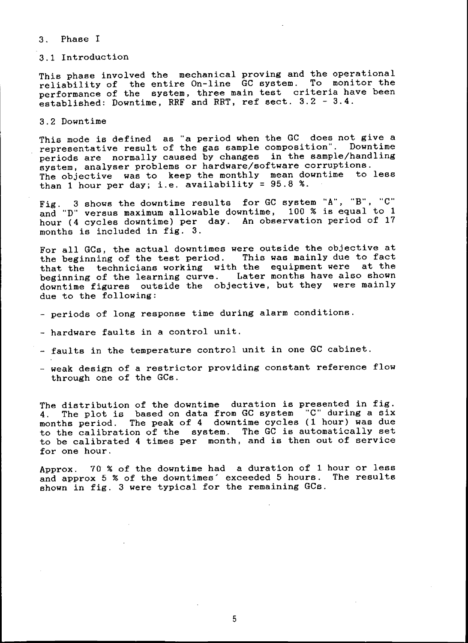#### 3. Phase I

#### 3.1 Introduction

This phase involved the mechanical proving and the operational reliability of the entire On-line GC system. To monitor the performance of the system, three main test criteria have been established: Downtime, RRF and RRT, ref sect. 3.2 - 3.4.

3.2 Downtime

This mode is defined as "a period when the GC does not give a representative result of the gas sample composition". Downtime periods are normally caused by changes in the sample/handling system, analyser problems or hardware/software corruptions. The objective was to keep the monthly mean downtime to less than 1 hour per day; i.e. availability = 95.8 %.

Fig. 3 shows the downtime results for GC system "A", "B", "C" and "D" versus maximum allowable downtime, 100 % is equal to 1 hour (4 cycles downtime) per day. An observation period of 17 months is included in fig. 3.

For all GCs, the actual downtimes were outside the objective at the beginning of the test period. This was mainly due to fact that the technicians working with the equipment were at the beginning of the learning curve. Later months have also shown downtime figures outside the objective, but they were mainly due to the following:

- periods of long response time during alarm conditions.
- hardware faults in a control unit.
- faults in the temperature control unit in one GC cabinet.
- weak design of a restrictor providing constant reference flow through one of the GCs.

The distribution of the downtime duration is presented in fig. 4. The plot is based on data from GC system "C" during a six months period. The peak of 4 downtime cycles (1 hour) was due to the calibration of the system. The GC is automatically set to be calibrated 4 times per month, and is then out of service for one hour.

Approx. 70 % of the downtime had a duration of 1 hour or less and approx 5 % of the downtimes' exceeded 5 hours. The results shown in fig. 3 were typical for the remaining  $GCs$ .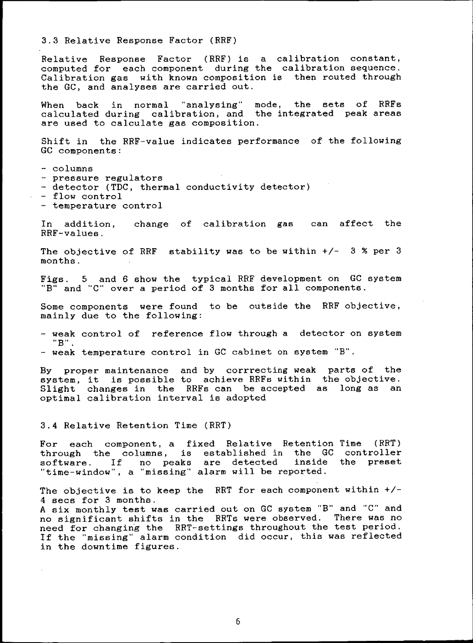3.3 Relative Response Factor (RRF)

Relative Response Factor (RRF) is a calibration constant, computed for each component during the calibration sequence. Calibration gas with known composition is then routed through the GC, and analyses are carried out.

When back in normal "analysing" mode, the sets of RRFs calculated during calibration, and the integrated peak areas are used to calculate gas composition.

Shift in the RRF-value indicates performance of the following GC components:

- columns

- pressure regulators
- detector (TDC, thermal conductivity detector)
- flow control
- temperature control

In addition, change of calibration gas can affect the RRF-values.

The objective of RRF stability was to be within  $+/-$  3 % per 3 months.

Figs. 5 and 6 show the typical RRF development on GC system "B" and "C" over a period of 3 months for all components.

Some components were found to be outside the RRF objective, mainly due to the following:

- weak control of reference flow through a detector on system **IIBII .**

- weak temperature control in GC cabinet on system "B".

By proper maintenance and by corrrecting weak parts of the system, it is possible to achieve RRFs within the objective. Slight changes in the RRFs can be accepted optimal calibration interval is adopted as long as an

3.4 Relative Retention Time (RRT)

For each component, a fixed Relative Retention Time (RRT) through the columns, is established in the GC controller software. If no peaks are detected "time-window", a "missing" alarm will be reported. inside the preset

The objective is to keep the RRT for each component within +/- 4 sees for 3 months. A six monthly test was carried out on GC system "B" and "C" and no significant shifts in the RRTs were observed. There was no need for changing the RRT-settings throughout the test period. If the "missing" alarm condition did occur, this was reflected in the downtime figures.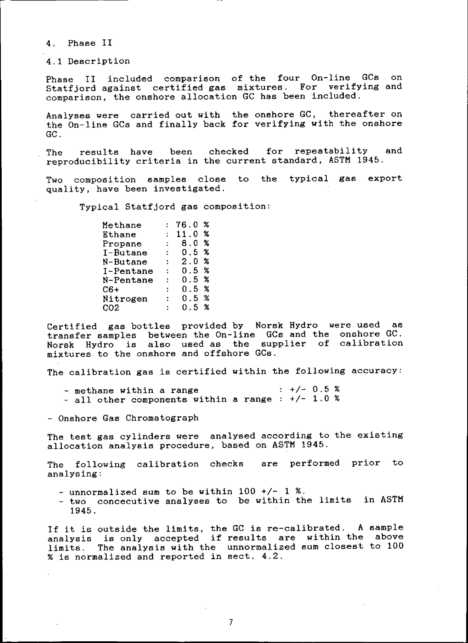4. Phase II

4.1 Description

Phase II included comparison of the four On-line GCs on Statfjord against certified gas mixtures. For verifying and comparison, the onshore allocation GC has been included.

Analyses were carried out with the onshore GC, thereafter on the On-line GCs and finally back for verifying with the onshore GC.

The results have been checked for repeatability and reproducibility criteria in the current standard, ASTM 1945.

Two composition samples close to the typical gas export quality, have been investigated.

Typical Statfjord gas composition:

| Methane   |   | 76.0  | X    |
|-----------|---|-------|------|
| Ethane    |   | 11.0  | X    |
| Propane   |   | 8.0   | X    |
| I-Butane  | ÷ | O. 5  | X    |
| N-Butane  | ÷ | 2.0   | X    |
| I-Pentane | ÷ | ი. 5  | X    |
| N-Pentane |   | O 5 % |      |
| $C6+$     |   | ი . 5 | X    |
| Nitrogen  |   | 0.5   | ℀    |
| CO2       |   | ი 5   | $\%$ |

Certified gas bottles provided by Norsk Hydro were used as transfer samples between the On-line GCs and the onshore GC. Norsk Hydro is also used as the supplier of calibration mixtures to the onshore and offshore GCs.

The calibration gas is certified within the following accuracy:

- methane within a range  $-$  all other components within a range :  $+/-$  1.0 %  $\div$  +/- 0.5 %

- Onshore Gas Chromatograph

The test gas cylinders were analysed according to the existing allocation analysis procedure, based on ASTM 1945.

The following calibration checks are performed prior to analysing:

- $-$  unnormalized sum to be within 100 +/- 1 %.
- two concecutive analyses to be within the limits in ASTM 1945.

If it is outside the limits, the GC is re-calibrated. A sample analysis is only accepted if results are within the above limits. The analysis with the unnormalized sum closest to 100 % is normalized and reported in sect. 4.2.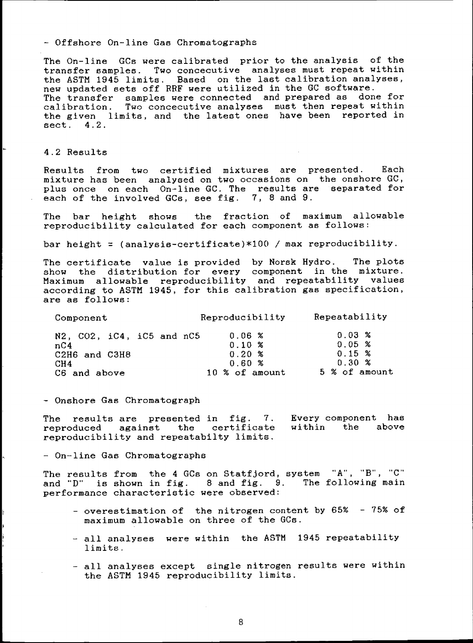- Offshore On-line Gas Chromatographs

The On-line GCs were calibrated prior to the analysis of the transfer samples. Two concecutive analyses must repeat within the ASTM 1945 limits. Based on the last calibration analyses, new updated sets off RRF were utilized in the GC software. The transfer samples were connected and prepared as done for calibration. Two concecutive analyses must then repeat within the given limits, and the latest ones have been reported in sect. 4.2.

## 4.2 Results

Results from two certified mixtures are presented. Each mixture has been analysed on two occasions on the onshore GC, plus once on each On-line GC. The results are separated for each of the involved GCs, see fig. 7, 8 and 9.

The bar height shows the fraction of maximum allowable reproducibility calculated for each component as follows:

bar height = (analysis-certificate)  $*100$  / max reproducibility.

The certificate value is provided by Norsk Hydro. The plots show the distribution for every component in the mixture. Maximum allowable reproducibility and repeatability values according to ASTM 1945, for this calibration gas specification, are as follows:

| Component                                                 | Reproducibility                    | Repeatability                  |  |
|-----------------------------------------------------------|------------------------------------|--------------------------------|--|
| $N2$ , $CO2$ , $iC4$ , $iC5$ and $nC5$<br>nC <sub>4</sub> | 0.06 <sup>o</sup><br>$0.10 \times$ | $0.03\%$<br>0.05 %             |  |
| C2H6 and C3H8                                             | $0.20 \times$<br>0.60%             | $0.15 \times$<br>$0.30 \times$ |  |
| CH <sub>4</sub><br>C6 and above                           | 10 % of amount                     | 5 % of amount                  |  |

- Onshore Gas Chromatograph

The results are presented in fig. 7. Every component has reproduced against the certificate reproducibility and repeatabilty limits. within the above

- On-line Gas Chromatographs

The results from the 4 GCs on Statfjord, system "A", "B", "C" and "D" is shown in fig. 8 and fig. 9. The following main performance characteristic were observed:

- overestimation of the nitrogen content by 65% 75% of maximum allowable on three of the GCs.
- all analyses were within the ASTM 1945 repeatability limits.
- all analyses except single nitrogen results were within the ASTM 1945 reproducibility limits.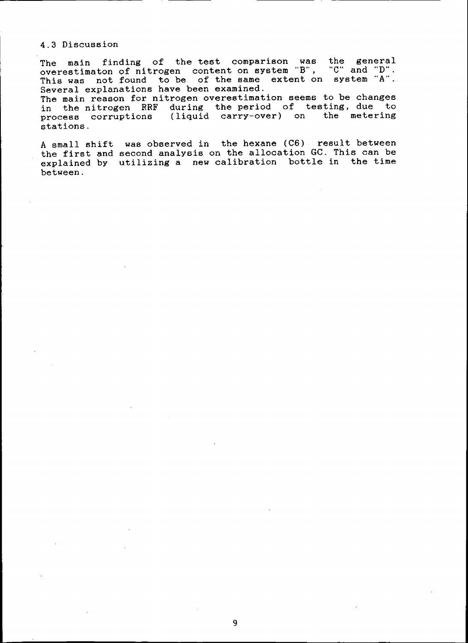# 4.3 Discussion

the general **ItC" and liD".** system "A'". The main finding of the test comparison was overestimaton of nitrogen content on system "B", This was not found to be of the same extent on Several explanations have been examined.

The main reason for nitrogen overestimation seems to be changes in the nitrogen RRF during the period of testing, due to process corruptions (liquid carry-over) on the metering stations.

A small shift was observed in the hexane (C6) result between the first and second analysis on the allocation GC. This can be explained by utilizing a new calibration bottle in the time between.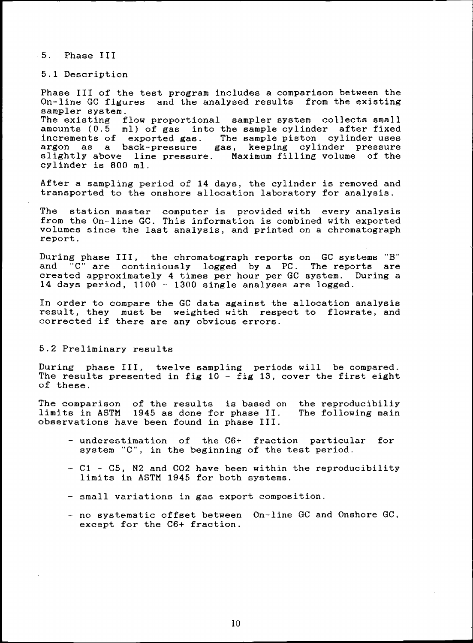·5. Phase III

5.1 Description

Phase III of the test program includes a comparison between the On-line GC figures and the analysed results from the existing sampler system. The existing flow proportional sampler system collects small amounts (0.5 ml) of gas into the sample cylinder after fixed increments of exported gas. The sample piston cylinder uses argon as a back-pressure gas, keeping cylinder pressure slightly above line pressure. Maximum filling volume of the cylinder is 800 mI.

After a sampling period of 14 days, the cylinder is removed and transported to the onshore allocation laboratory for analysis.

The station master computer is provided with every analysis from the On-line GC. This information is combined with exported volumes since the last analysis, and printed on a chromatograph report.

During phase III, the chromatograph reports on GC systems "B" and "C" are continiously logged by a PC. The reports are created approximately 4 times per hour per GC system. During a 14 days period. 1100 - 1300 single analyses are logged.

In order to compare the GC data against the allocation analysis result, they must be weighted with respect to flowrate, and corrected if there are any obvious errors.

### 5.2 Preliminary results

During phase III, twelve sampling periods will be compared. The results presented in fig  $10 -$  fig  $13$ , cover the first eight of these.

The comparison of the results is based on the reproducibiliy limits in ASTM 1945 as done for phase II. observations have been found in phase III. The following main

- underestimation of the C6+ fraction particular for system "C", in the beginning of the test period.
- C1 C5, N2 and CO2 have been within the reproducibility limits in ASTM 1945 for both systems.
- small variations in gas export composition.
- no systematic offset between On-line GC and Onshore GC, except for the C6+ fraction.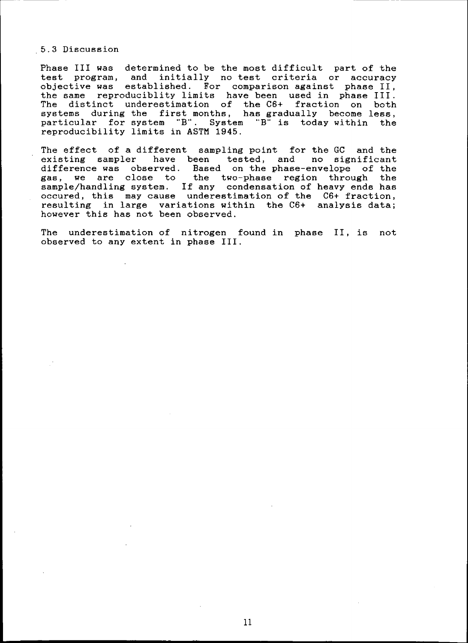## 5.3 Discussion

Phase III was determined to be the most difficult part of the test program, and initially no test criteria or accuracy objective was established. For comparison against phase II, the same reproduciblity limits have been used in phase III. The distinct underestimation of the C6+ fraction on both systems during the first months, has gradually become less, particular for system "B". System "B" is today within the reproducibility limits in ASTM 1945.

The effect of a different sampling point for the GC and the existing sampler have been tested, and no significant difference was observed. Based on the phase-envelope of the gas, we are close to the two-phase region through the sample/handling system. If any condensation of heavy ends has occured, this may cause underestimation of the C6+ fraction, resulting in large variations within the C6+ analysis data; however this has not been observed.

The underestimation of nitrogen found in phase II, is not observed to any extent in phase III.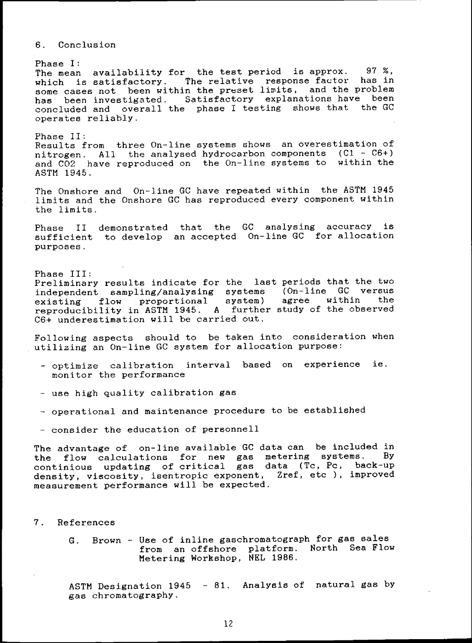## 6. Conclusion

Phase I: The mean availability for the test period is approx. 97 %, which is satisfactory. The relative response factor has in some cases not been within the preset limits, and the problem has been investigated. Satisfactory explanations have been concluded and overall the phase I testing shows that the GC operates reliably.

Phase II: Results from three On-line systems shows an overestimation of nitrogen. All the analysed hydrocarbon components (Cl - C6+) and C02 have reproduced on the On-line systems to within the ASTM 1945.

The Onshore and On-line GC have repeated within the ASTM 1945 limits and the Onshore GC has reproduced every component within the limits.

Phase II demonstrated that the GC analysing accuracy is sufficient to develop an accepted On-line GC for allocation purposes.

Phase III: Preliminary results indicate for the last periods that the two independent sampling/analysing systems existing flow proportional system) reproducibility in ASTM 1945. A further C6+ underestimation will be carried out. (On-line GC versus agree within the study of the observed

Following aspects should to be taken into consideration when utilizing an On-line GC system for allocation purpose:

- optimize calibration interval based on experience ie. monitor the performance
- use high quality calibration gas
- operational and maintenance procedure to be established
- consider the education of personnell

The advantage of on-line available GC data can be included in<br>the flow calculations, for new gas metering systems. By the flow calculations for new gas metering systems. continious updating of critical gas data (Tc, Pc, back-up density, viscosity, isentropic exponent, Zref, etc ), improved measurement performance will be expected.

- 7. References
	- G. Brown Use of in1ine gaschromatograph for gas sales from an offshore platform. North Sea Flow Metering Workshop, NEL 1986.

ASTM Designation 1945 - 81. Analysis of natural gas by gas chromatography.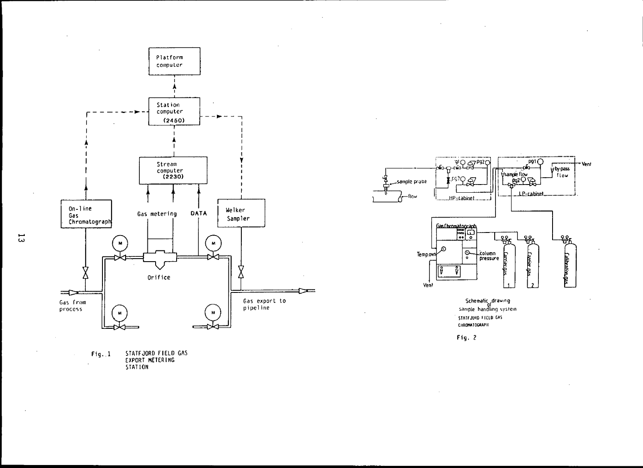

STATFJORD FIELD GAS<br>EXPORT METERING<br>STATION  $Fig. 1$ 



 $\mathcal{L}^{\mathcal{L}}$ 

 $\sim$ 

Schematic drawing<br>of<br>sample handling system STATFJORD FIELD GAS CHROMATOGRAPIE

Fig. 2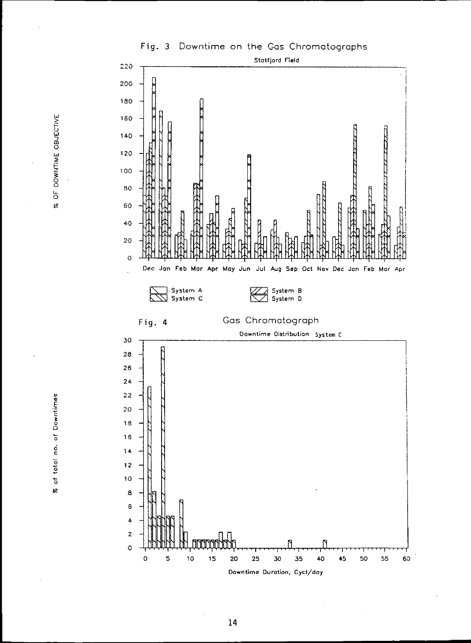



OF DOWNTIME OBJECTIVE se

of total no. of Downtimes  $\boldsymbol{\kappa}$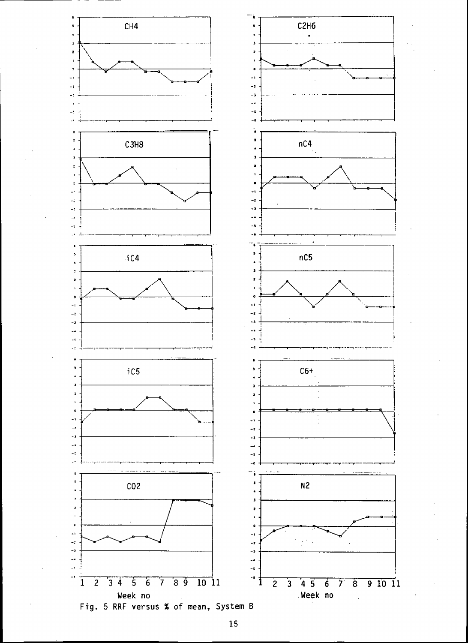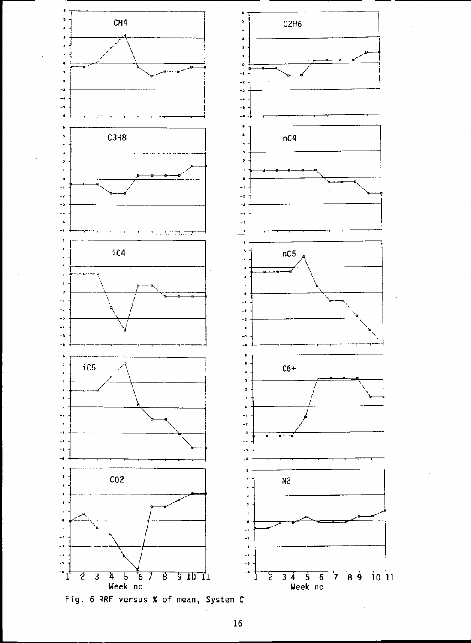

Fig. 6 RRF yersus % of mean, System C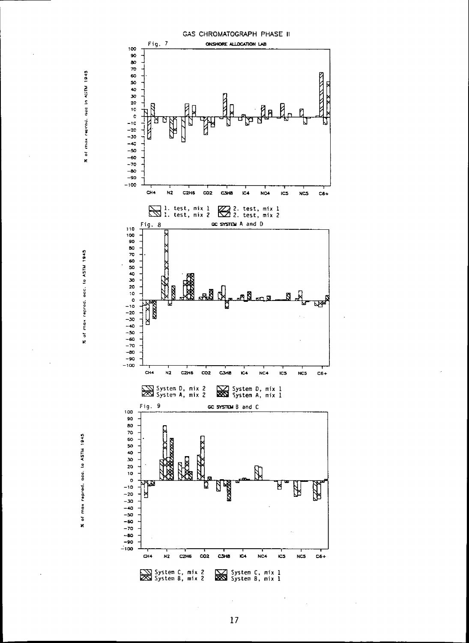



 $\aleph$ 

 $\tilde{\mathbf{K}}$ 

17

Ŷ.

 $\hat{\mathcal{A}}$ 

 $\gamma$ 

 $\bar{z}$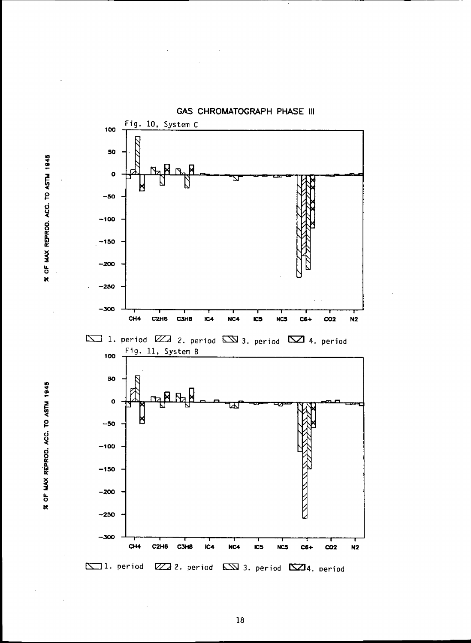1945<br>. ~ 0 ~ 0 It:  $\frac{3}{2}$  $\frac{1}{2}$ Ie





**GAS CHROMATOGRAPH PHASE III**